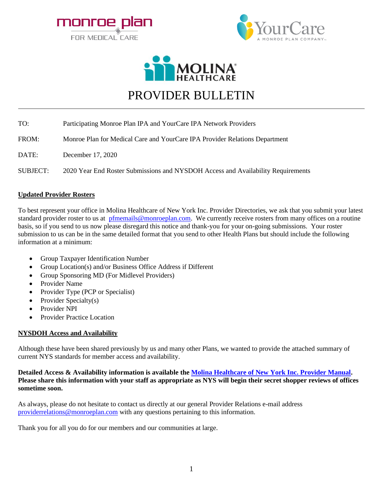





# PROVIDER BULLETIN

| TO:             | Participating Monroe Plan IPA and YourCare IPA Network Providers                 |
|-----------------|----------------------------------------------------------------------------------|
| FROM:           | Monroe Plan for Medical Care and YourCare IPA Provider Relations Department      |
| DATE:           | December 17, 2020                                                                |
| <b>SUBJECT:</b> | 2020 Year End Roster Submissions and NYSDOH Access and Availability Requirements |

### **Updated Provider Rosters**

To best represent your office in Molina Healthcare of New York Inc. Provider Directories, we ask that you submit your latest standard provider roster to us at [pfmemails@monroeplan.com.](mailto:pfmemails@monroeplan.com) We currently receive rosters from many offices on a routine basis, so if you send to us now please disregard this notice and thank-you for your on-going submissions. Your roster submission to us can be in the same detailed format that you send to other Health Plans but should include the following information at a minimum:

- Group Taxpayer Identification Number
- Group Location(s) and/or Business Office Address if Different
- Group Sponsoring MD (For Midlevel Providers)
- Provider Name
- Provider Type (PCP or Specialist)
- Provider Specialty(s)
- Provider NPI
- Provider Practice Location

#### **NYSDOH Access and Availability**

Although these have been shared previously by us and many other Plans, we wanted to provide the attached summary of current NYS standards for member access and availability.

#### **Detailed Access & Availability information is available th[e Molina Healthcare of New York Inc. Provider Manual.](https://mydigimag.rrd.com/publication/?i=664587&ver=html5&p=196) Please share this information with your staff as appropriate as NYS will begin their secret shopper reviews of offices sometime soon.**

As always, please do not hesitate to contact us directly at our general Provider Relations e-mail address [providerrelations@monroeplan.com](mailto:providerrelations@monroeplan.com) with any questions pertaining to this information.

Thank you for all you do for our members and our communities at large.